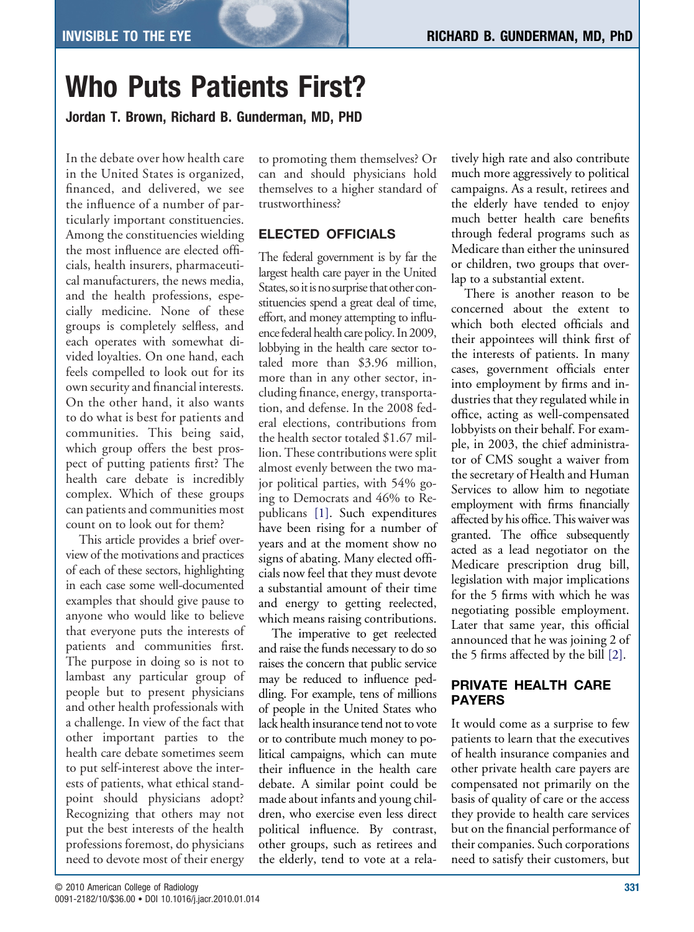# **Who Puts Patients First?**

**Jordan T. Brown, Richard B. Gunderman, MD, PHD**

In the debate over how health care in the United States is organized, financed, and delivered, we see the influence of a number of particularly important constituencies. Among the constituencies wielding the most influence are elected officials, health insurers, pharmaceutical manufacturers, the news media, and the health professions, especially medicine. None of these groups is completely selfless, and each operates with somewhat divided loyalties. On one hand, each feels compelled to look out for its own security and financial interests. On the other hand, it also wants to do what is best for patients and communities. This being said, which group offers the best prospect of putting patients first? The health care debate is incredibly complex. Which of these groups can patients and communities most count on to look out for them?

This article provides a brief overview of the motivations and practices of each of these sectors, highlighting in each case some well-documented examples that should give pause to anyone who would like to believe that everyone puts the interests of patients and communities first. The purpose in doing so is not to lambast any particular group of people but to present physicians and other health professionals with a challenge. In view of the fact that other important parties to the health care debate sometimes seem to put self-interest above the interests of patients, what ethical standpoint should physicians adopt? Recognizing that others may not put the best interests of the health professions foremost, do physicians need to devote most of their energy

to promoting them themselves? Or can and should physicians hold themselves to a higher standard of trustworthiness?

## **ELECTED OFFICIALS**

The federal government is by far the largest health care payer in the United States, so it is no surprise that other constituencies spend a great deal of time, effort, and money attempting to influence federal health care policy. In 2009, lobbying in the health care sector totaled more than \$3.96 million, more than in any other sector, including finance, energy, transportation, and defense. In the 2008 federal elections, contributions from the health sector totaled \$1.67 million. These contributions were split almost evenly between the two major political parties, with 54% going to Democrats and 46% to Republicans [\[1\].](#page-2-0) Such expenditures have been rising for a number of years and at the moment show no signs of abating. Many elected officials now feel that they must devote a substantial amount of their time and energy to getting reelected, which means raising contributions.

The imperative to get reelected and raise the funds necessary to do so raises the concern that public service may be reduced to influence peddling. For example, tens of millions of people in the United States who lack health insurance tend not to vote or to contribute much money to political campaigns, which can mute their influence in the health care debate. A similar point could be made about infants and young children, who exercise even less direct political influence. By contrast, other groups, such as retirees and the elderly, tend to vote at a relatively high rate and also contribute much more aggressively to political campaigns. As a result, retirees and the elderly have tended to enjoy much better health care benefits through federal programs such as Medicare than either the uninsured or children, two groups that overlap to a substantial extent.

There is another reason to be concerned about the extent to which both elected officials and their appointees will think first of the interests of patients. In many cases, government officials enter into employment by firms and industries that they regulated while in office, acting as well-compensated lobbyists on their behalf. For example, in 2003, the chief administrator of CMS sought a waiver from the secretary of Health and Human Services to allow him to negotiate employment with firms financially affected by his office. This waiver was granted. The office subsequently acted as a lead negotiator on the Medicare prescription drug bill, legislation with major implications for the 5 firms with which he was negotiating possible employment. Later that same year, this official announced that he was joining 2 of the 5 firms affected by the bill [\[2\].](#page-2-0)

## **PRIVATE HEALTH CARE PAYERS**

It would come as a surprise to few patients to learn that the executives of health insurance companies and other private health care payers are compensated not primarily on the basis of quality of care or the access they provide to health care services but on the financial performance of their companies. Such corporations need to satisfy their customers, but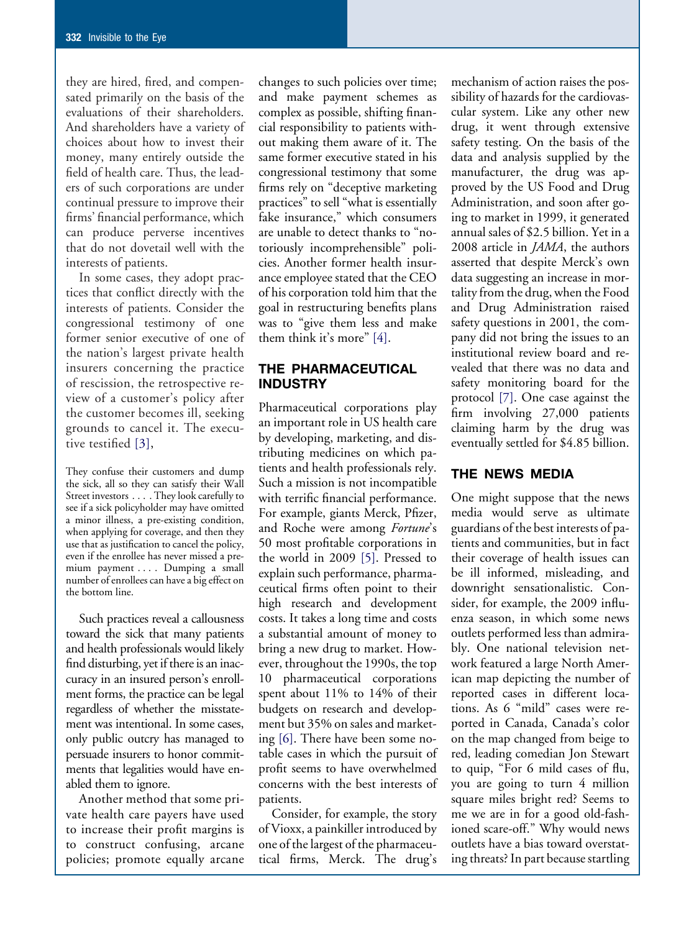they are hired, fired, and compensated primarily on the basis of the evaluations of their shareholders. And shareholders have a variety of choices about how to invest their money, many entirely outside the field of health care. Thus, the leaders of such corporations are under continual pressure to improve their firms' financial performance, which can produce perverse incentives that do not dovetail well with the interests of patients.

In some cases, they adopt practices that conflict directly with the interests of patients. Consider the congressional testimony of one former senior executive of one of the nation's largest private health insurers concerning the practice of rescission, the retrospective review of a customer's policy after the customer becomes ill, seeking grounds to cancel it. The executive testified [\[3\],](#page-2-0)

They confuse their customers and dump the sick, all so they can satisfy their Wall Street investors . . . . They look carefully to see if a sick policyholder may have omitted a minor illness, a pre-existing condition, when applying for coverage, and then they use that as justification to cancel the policy, even if the enrollee has never missed a premium payment . . . . Dumping a small number of enrollees can have a big effect on the bottom line.

Such practices reveal a callousness toward the sick that many patients and health professionals would likely find disturbing, yet if there is an inaccuracy in an insured person's enrollment forms, the practice can be legal regardless of whether the misstatement was intentional. In some cases, only public outcry has managed to persuade insurers to honor commitments that legalities would have enabled them to ignore.

Another method that some private health care payers have used to increase their profit margins is to construct confusing, arcane policies; promote equally arcane

changes to such policies over time; and make payment schemes as complex as possible, shifting financial responsibility to patients without making them aware of it. The same former executive stated in his congressional testimony that some firms rely on "deceptive marketing practices" to sell "what is essentially fake insurance," which consumers are unable to detect thanks to "notoriously incomprehensible" policies. Another former health insurance employee stated that the CEO of his corporation told him that the goal in restructuring benefits plans was to "give them less and make them think it's more" [\[4\].](#page-2-0)

#### **THE PHARMACEUTICAL INDUSTRY**

Pharmaceutical corporations play an important role in US health care by developing, marketing, and distributing medicines on which patients and health professionals rely. Such a mission is not incompatible with terrific financial performance. For example, giants Merck, Pfizer, and Roche were among *Fortune*'s 50 most profitable corporations in the world in 2009 [\[5\].](#page-2-0) Pressed to explain such performance, pharmaceutical firms often point to their high research and development costs. It takes a long time and costs a substantial amount of money to bring a new drug to market. However, throughout the 1990s, the top 10 pharmaceutical corporations spent about 11% to 14% of their budgets on research and development but 35% on sales and marketing [\[6\].](#page-2-0) There have been some notable cases in which the pursuit of profit seems to have overwhelmed concerns with the best interests of patients.

Consider, for example, the story of Vioxx, a painkiller introduced by one of the largest of the pharmaceutical firms, Merck. The drug's

mechanism of action raises the possibility of hazards for the cardiovascular system. Like any other new drug, it went through extensive safety testing. On the basis of the data and analysis supplied by the manufacturer, the drug was approved by the US Food and Drug Administration, and soon after going to market in 1999, it generated annual sales of \$2.5 billion. Yet in a 2008 article in *JAMA*, the authors asserted that despite Merck's own data suggesting an increase in mortality from the drug, when the Food and Drug Administration raised safety questions in 2001, the company did not bring the issues to an institutional review board and revealed that there was no data and safety monitoring board for the protocol [\[7\].](#page-2-0) One case against the firm involving 27,000 patients claiming harm by the drug was eventually settled for \$4.85 billion.

### **THE NEWS MEDIA**

One might suppose that the news media would serve as ultimate guardians of the best interests of patients and communities, but in fact their coverage of health issues can be ill informed, misleading, and downright sensationalistic. Consider, for example, the 2009 influenza season, in which some news outlets performed less than admirably. One national television network featured a large North American map depicting the number of reported cases in different locations. As 6 "mild" cases were reported in Canada, Canada's color on the map changed from beige to red, leading comedian Jon Stewart to quip, "For 6 mild cases of flu, you are going to turn 4 million square miles bright red? Seems to me we are in for a good old-fashioned scare-off." Why would news outlets have a bias toward overstating threats? In part because startling